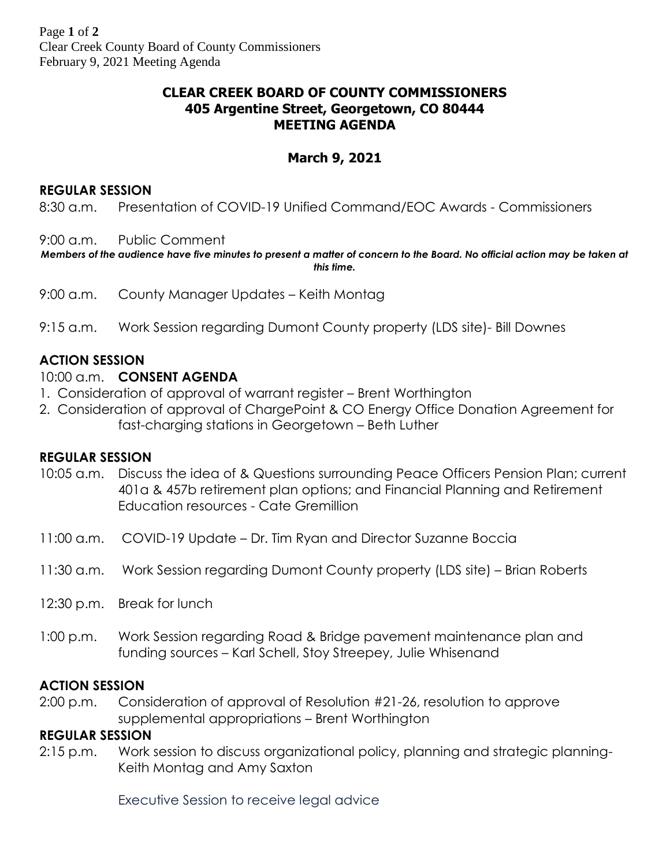# **CLEAR CREEK BOARD OF COUNTY COMMISSIONERS 405 Argentine Street, Georgetown, CO 80444 MEETING AGENDA**

# **March 9, 2021**

### **REGULAR SESSION**

8:30 a.m. Presentation of COVID-19 Unified Command/EOC Awards - Commissioners

9:00 a.m. Public Comment

*Members of the audience have five minutes to present a matter of concern to the Board. No official action may be taken at this time.*

- 9:00 a.m. County Manager Updates Keith Montag
- 9:15 a.m. Work Session regarding Dumont County property (LDS site)- Bill Downes

# **ACTION SESSION**

# 10:00 a.m. **CONSENT AGENDA**

- 1. Consideration of approval of warrant register Brent Worthington
- 2. Consideration of approval of ChargePoint & CO Energy Office Donation Agreement for fast-charging stations in Georgetown – Beth Luther

## **REGULAR SESSION**

- 10:05 a.m. Discuss the idea of & Questions surrounding Peace Officers Pension Plan; current 401a & 457b retirement plan options; and Financial Planning and Retirement Education resources - Cate Gremillion
- 11:00 a.m. COVID-19 Update Dr. Tim Ryan and Director Suzanne Boccia
- 11:30 a.m. Work Session regarding Dumont County property (LDS site) Brian Roberts
- 12:30 p.m. Break for lunch
- 1:00 p.m. Work Session regarding Road & Bridge pavement maintenance plan and funding sources – Karl Schell, Stoy Streepey, Julie Whisenand

## **ACTION SESSION**

2:00 p.m. Consideration of approval of Resolution #21-26, resolution to approve supplemental appropriations – Brent Worthington

### **REGULAR SESSION**

2:15 p.m. Work session to discuss organizational policy, planning and strategic planning-Keith Montag and Amy Saxton

Executive Session to receive legal advice